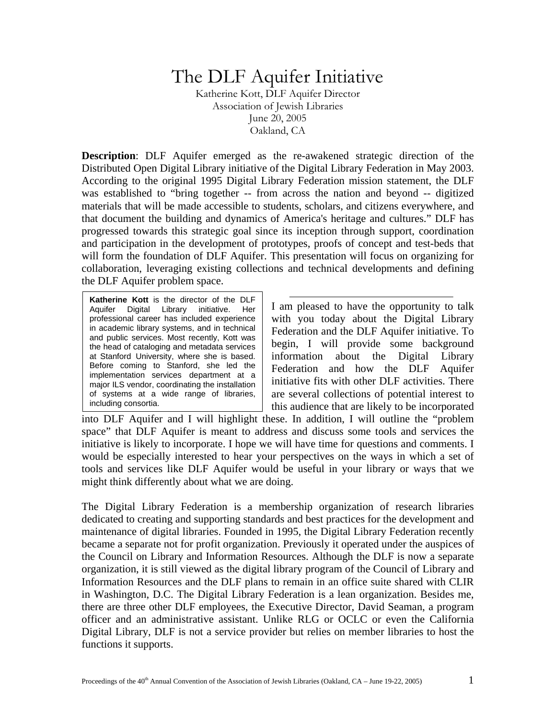## The DLF Aquifer Initiative

Katherine Kott, DLF Aquifer Director Association of Jewish Libraries June 20, 2005 Oakland, CA

**Description:** DLF Aquifer emerged as the re-awakened strategic direction of the Distributed Open Digital Library initiative of the Digital Library Federation in May 2003. According to the original 1995 Digital Library Federation mission statement, the DLF was established to "bring together -- from across the nation and beyond -- digitized materials that will be made accessible to students, scholars, and citizens everywhere, and that document the building and dynamics of America's heritage and cultures." DLF has progressed towards this strategic goal since its inception through support, coordination and participation in the development of prototypes, proofs of concept and test-beds that will form the foundation of DLF Aquifer. This presentation will focus on organizing for collaboration, leveraging existing collections and technical developments and defining the DLF Aquifer problem space.

**Katherine Kott** is the director of the DLF Aquifer Digital Library initiative. Her professional career has included experience in academic library systems, and in technical and public services. Most recently, Kott was the head of cataloging and metadata services at Stanford University, where she is based. Before coming to Stanford, she led the implementation services department at a major ILS vendor, coordinating the installation of systems at a wide range of libraries, including consortia.

I am pleased to have the opportunity to talk with you today about the Digital Library Federation and the DLF Aquifer initiative. To begin, I will provide some background information about the Digital Library Federation and how the DLF Aquifer initiative fits with other DLF activities. There are several collections of potential interest to this audience that are likely to be incorporated

into DLF Aquifer and I will highlight these. In addition, I will outline the "problem space" that DLF Aquifer is meant to address and discuss some tools and services the initiative is likely to incorporate. I hope we will have time for questions and comments. I would be especially interested to hear your perspectives on the ways in which a set of tools and services like DLF Aquifer would be useful in your library or ways that we might think differently about what we are doing.

The Digital Library Federation is a membership organization of research libraries dedicated to creating and supporting standards and best practices for the development and maintenance of digital libraries. Founded in 1995, the Digital Library Federation recently became a separate not for profit organization. Previously it operated under the auspices of the Council on Library and Information Resources. Although the DLF is now a separate organization, it is still viewed as the digital library program of the Council of Library and Information Resources and the DLF plans to remain in an office suite shared with CLIR in Washington, D.C. The Digital Library Federation is a lean organization. Besides me, there are three other DLF employees, the Executive Director, David Seaman, a program officer and an administrative assistant. Unlike RLG or OCLC or even the California Digital Library, DLF is not a service provider but relies on member libraries to host the functions it supports.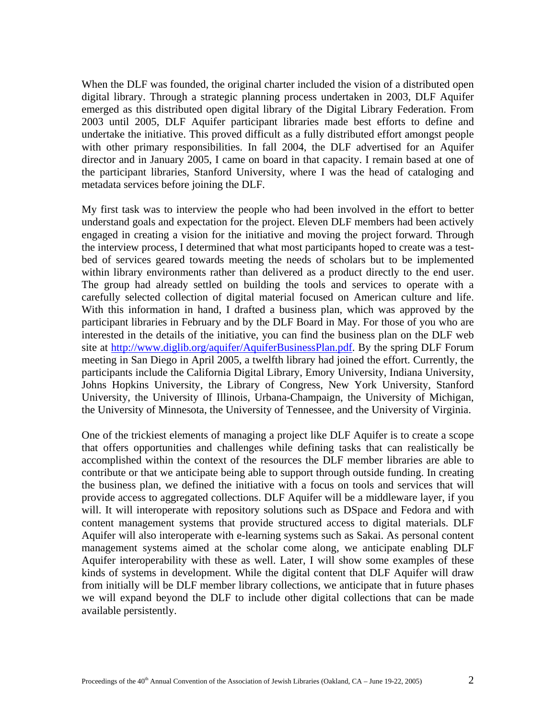When the DLF was founded, the original charter included the vision of a distributed open digital library. Through a strategic planning process undertaken in 2003, DLF Aquifer emerged as this distributed open digital library of the Digital Library Federation. From 2003 until 2005, DLF Aquifer participant libraries made best efforts to define and undertake the initiative. This proved difficult as a fully distributed effort amongst people with other primary responsibilities. In fall 2004, the DLF advertised for an Aquifer director and in January 2005, I came on board in that capacity. I remain based at one of the participant libraries, Stanford University, where I was the head of cataloging and metadata services before joining the DLF.

My first task was to interview the people who had been involved in the effort to better understand goals and expectation for the project. Eleven DLF members had been actively engaged in creating a vision for the initiative and moving the project forward. Through the interview process, I determined that what most participants hoped to create was a testbed of services geared towards meeting the needs of scholars but to be implemented within library environments rather than delivered as a product directly to the end user. The group had already settled on building the tools and services to operate with a carefully selected collection of digital material focused on American culture and life. With this information in hand, I drafted a business plan, which was approved by the participant libraries in February and by the DLF Board in May. For those of you who are interested in the details of the initiative, you can find the business plan on the DLF web site at <http://www.diglib.org/aquifer/AquiferBusinessPlan.pdf>. By the spring DLF Forum meeting in San Diego in April 2005, a twelfth library had joined the effort. Currently, the participants include the California Digital Library, Emory University, Indiana University, Johns Hopkins University, the Library of Congress, New York University, Stanford University, the University of Illinois, Urbana-Champaign, the University of Michigan, the University of Minnesota, the University of Tennessee, and the University of Virginia.

One of the trickiest elements of managing a project like DLF Aquifer is to create a scope that offers opportunities and challenges while defining tasks that can realistically be accomplished within the context of the resources the DLF member libraries are able to contribute or that we anticipate being able to support through outside funding. In creating the business plan, we defined the initiative with a focus on tools and services that will provide access to aggregated collections. DLF Aquifer will be a middleware layer, if you will. It will interoperate with repository solutions such as DSpace and Fedora and with content management systems that provide structured access to digital materials. DLF Aquifer will also interoperate with e-learning systems such as Sakai. As personal content management systems aimed at the scholar come along, we anticipate enabling DLF Aquifer interoperability with these as well. Later, I will show some examples of these kinds of systems in development. While the digital content that DLF Aquifer will draw from initially will be DLF member library collections, we anticipate that in future phases we will expand beyond the DLF to include other digital collections that can be made available persistently.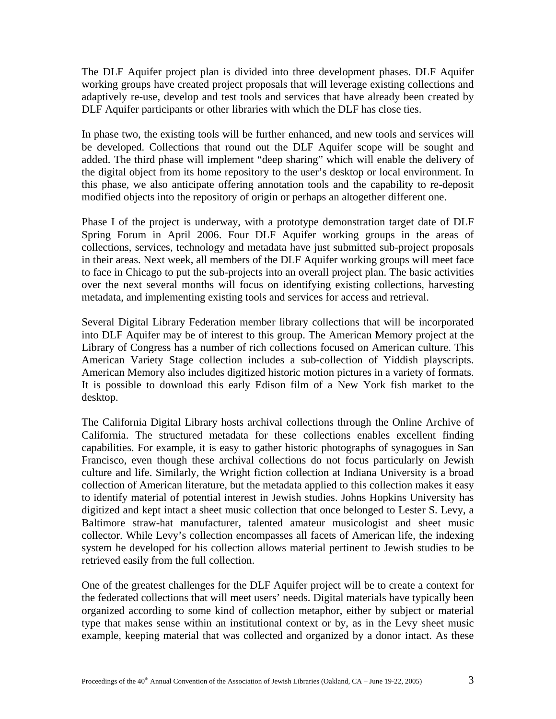The DLF Aquifer project plan is divided into three development phases. DLF Aquifer working groups have created project proposals that will leverage existing collections and adaptively re-use, develop and test tools and services that have already been created by DLF Aquifer participants or other libraries with which the DLF has close ties.

In phase two, the existing tools will be further enhanced, and new tools and services will be developed. Collections that round out the DLF Aquifer scope will be sought and added. The third phase will implement "deep sharing" which will enable the delivery of the digital object from its home repository to the user's desktop or local environment. In this phase, we also anticipate offering annotation tools and the capability to re-deposit modified objects into the repository of origin or perhaps an altogether different one.

Phase I of the project is underway, with a prototype demonstration target date of DLF Spring Forum in April 2006. Four DLF Aquifer working groups in the areas of collections, services, technology and metadata have just submitted sub-project proposals in their areas. Next week, all members of the DLF Aquifer working groups will meet face to face in Chicago to put the sub-projects into an overall project plan. The basic activities over the next several months will focus on identifying existing collections, harvesting metadata, and implementing existing tools and services for access and retrieval.

Several Digital Library Federation member library collections that will be incorporated into DLF Aquifer may be of interest to this group. The American Memory project at the Library of Congress has a number of rich collections focused on American culture. This American Variety Stage collection includes a sub-collection of Yiddish playscripts. American Memory also includes digitized historic motion pictures in a variety of formats. It is possible to download this early Edison film of a New York fish market to the desktop.

The California Digital Library hosts archival collections through the Online Archive of California. The structured metadata for these collections enables excellent finding capabilities. For example, it is easy to gather historic photographs of synagogues in San Francisco, even though these archival collections do not focus particularly on Jewish culture and life. Similarly, the Wright fiction collection at Indiana University is a broad collection of American literature, but the metadata applied to this collection makes it easy to identify material of potential interest in Jewish studies. Johns Hopkins University has digitized and kept intact a sheet music collection that once belonged to Lester S. Levy, a Baltimore straw-hat manufacturer, talented amateur musicologist and sheet music collector. While Levy's collection encompasses all facets of American life, the indexing system he developed for his collection allows material pertinent to Jewish studies to be retrieved easily from the full collection.

One of the greatest challenges for the DLF Aquifer project will be to create a context for the federated collections that will meet users' needs. Digital materials have typically been organized according to some kind of collection metaphor, either by subject or material type that makes sense within an institutional context or by, as in the Levy sheet music example, keeping material that was collected and organized by a donor intact. As these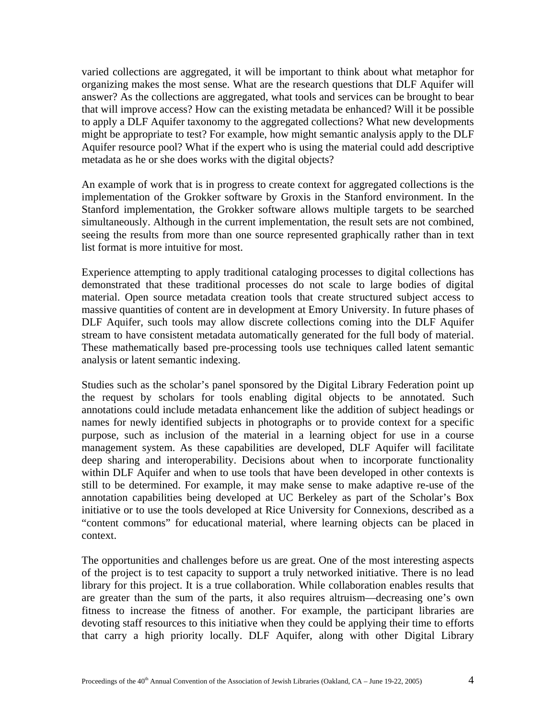varied collections are aggregated, it will be important to think about what metaphor for organizing makes the most sense. What are the research questions that DLF Aquifer will answer? As the collections are aggregated, what tools and services can be brought to bear that will improve access? How can the existing metadata be enhanced? Will it be possible to apply a DLF Aquifer taxonomy to the aggregated collections? What new developments might be appropriate to test? For example, how might semantic analysis apply to the DLF Aquifer resource pool? What if the expert who is using the material could add descriptive metadata as he or she does works with the digital objects?

An example of work that is in progress to create context for aggregated collections is the implementation of the Grokker software by Groxis in the Stanford environment. In the Stanford implementation, the Grokker software allows multiple targets to be searched simultaneously. Although in the current implementation, the result sets are not combined, seeing the results from more than one source represented graphically rather than in text list format is more intuitive for most.

Experience attempting to apply traditional cataloging processes to digital collections has demonstrated that these traditional processes do not scale to large bodies of digital material. Open source metadata creation tools that create structured subject access to massive quantities of content are in development at Emory University. In future phases of DLF Aquifer, such tools may allow discrete collections coming into the DLF Aquifer stream to have consistent metadata automatically generated for the full body of material. These mathematically based pre-processing tools use techniques called latent semantic analysis or latent semantic indexing.

Studies such as the scholar's panel sponsored by the Digital Library Federation point up the request by scholars for tools enabling digital objects to be annotated. Such annotations could include metadata enhancement like the addition of subject headings or names for newly identified subjects in photographs or to provide context for a specific purpose, such as inclusion of the material in a learning object for use in a course management system. As these capabilities are developed, DLF Aquifer will facilitate deep sharing and interoperability. Decisions about when to incorporate functionality within DLF Aquifer and when to use tools that have been developed in other contexts is still to be determined. For example, it may make sense to make adaptive re-use of the annotation capabilities being developed at UC Berkeley as part of the Scholar's Box initiative or to use the tools developed at Rice University for Connexions, described as a "content commons" for educational material, where learning objects can be placed in context.

The opportunities and challenges before us are great. One of the most interesting aspects of the project is to test capacity to support a truly networked initiative. There is no lead library for this project. It is a true collaboration. While collaboration enables results that are greater than the sum of the parts, it also requires altruism—decreasing one's own fitness to increase the fitness of another. For example, the participant libraries are devoting staff resources to this initiative when they could be applying their time to efforts that carry a high priority locally. DLF Aquifer, along with other Digital Library